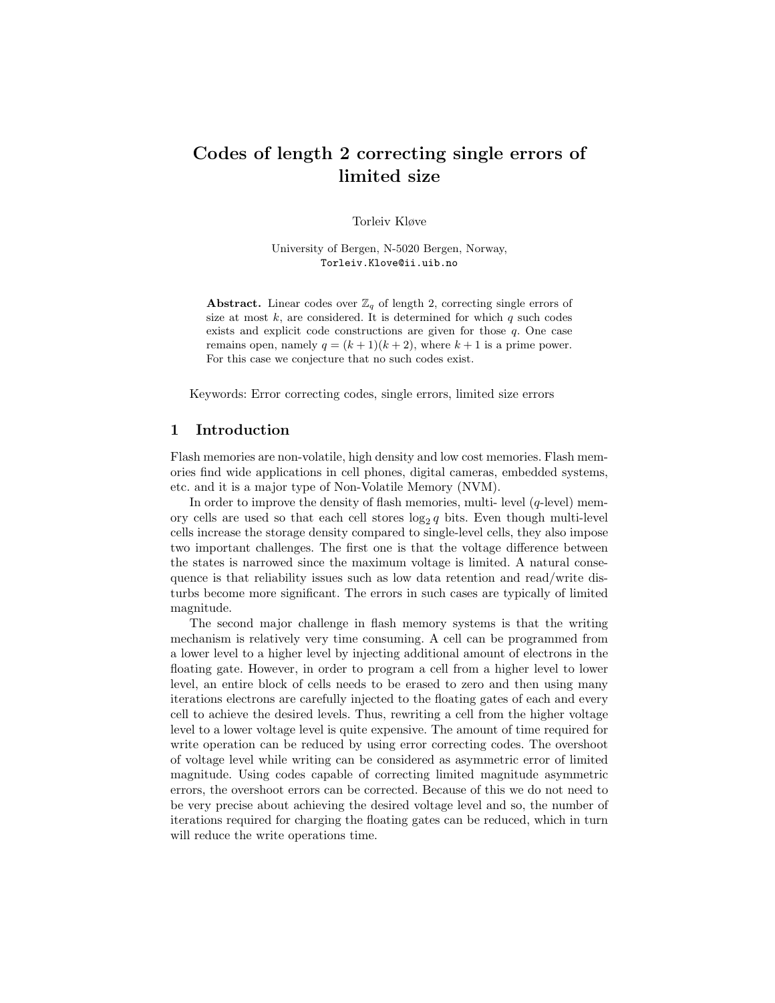# Codes of length 2 correcting single errors of limited size

Torleiv Kløve

University of Bergen, N-5020 Bergen, Norway, Torleiv.Klove@ii.uib.no

Abstract. Linear codes over  $\mathbb{Z}_q$  of length 2, correcting single errors of size at most  $k$ , are considered. It is determined for which q such codes exists and explicit code constructions are given for those  $q$ . One case remains open, namely  $q = (k + 1)(k + 2)$ , where  $k + 1$  is a prime power. For this case we conjecture that no such codes exist.

Keywords: Error correcting codes, single errors, limited size errors

## 1 Introduction

Flash memories are non-volatile, high density and low cost memories. Flash memories find wide applications in cell phones, digital cameras, embedded systems, etc. and it is a major type of Non-Volatile Memory (NVM).

In order to improve the density of flash memories, multi- level  $(q$ -level) memory cells are used so that each cell stores  $\log_2 q$  bits. Even though multi-level cells increase the storage density compared to single-level cells, they also impose two important challenges. The first one is that the voltage difference between the states is narrowed since the maximum voltage is limited. A natural consequence is that reliability issues such as low data retention and read/write disturbs become more significant. The errors in such cases are typically of limited magnitude.

The second major challenge in flash memory systems is that the writing mechanism is relatively very time consuming. A cell can be programmed from a lower level to a higher level by injecting additional amount of electrons in the floating gate. However, in order to program a cell from a higher level to lower level, an entire block of cells needs to be erased to zero and then using many iterations electrons are carefully injected to the floating gates of each and every cell to achieve the desired levels. Thus, rewriting a cell from the higher voltage level to a lower voltage level is quite expensive. The amount of time required for write operation can be reduced by using error correcting codes. The overshoot of voltage level while writing can be considered as asymmetric error of limited magnitude. Using codes capable of correcting limited magnitude asymmetric errors, the overshoot errors can be corrected. Because of this we do not need to be very precise about achieving the desired voltage level and so, the number of iterations required for charging the floating gates can be reduced, which in turn will reduce the write operations time.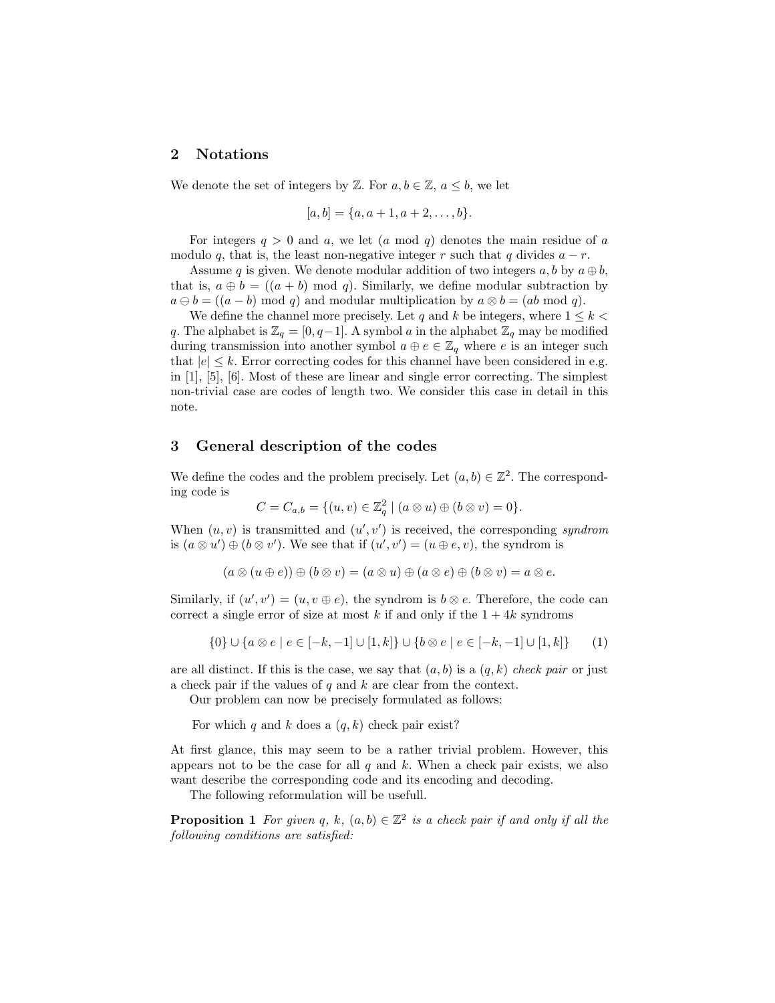## 2 Notations

We denote the set of integers by  $\mathbb{Z}$ . For  $a, b \in \mathbb{Z}$ ,  $a \leq b$ , we let

$$
[a, b] = \{a, a+1, a+2, \ldots, b\}.
$$

For integers  $q > 0$  and a, we let  $(a \mod q)$  denotes the main residue of a modulo q, that is, the least non-negative integer r such that q divides  $a - r$ .

Assume q is given. We denote modular addition of two integers  $a, b$  by  $a \oplus b$ , that is,  $a \oplus b = ((a + b) \mod q)$ . Similarly, we define modular subtraction by  $a \ominus b = ((a - b) \mod q)$  and modular multiplication by  $a \otimes b = (ab \mod q)$ .

We define the channel more precisely. Let q and k be integers, where  $1 \leq k$ q. The alphabet is  $\mathbb{Z}_q = [0, q-1]$ . A symbol a in the alphabet  $\mathbb{Z}_q$  may be modified during transmission into another symbol  $a \oplus e \in \mathbb{Z}_q$  where e is an integer such that  $|e| \leq k$ . Error correcting codes for this channel have been considered in e.g. in [1], [5], [6]. Most of these are linear and single error correcting. The simplest non-trivial case are codes of length two. We consider this case in detail in this note.

## 3 General description of the codes

We define the codes and the problem precisely. Let  $(a, b) \in \mathbb{Z}^2$ . The corresponding code is

$$
C = C_{a,b} = \{ (u, v) \in \mathbb{Z}_q^2 \mid (a \otimes u) \oplus (b \otimes v) = 0 \}.
$$

When  $(u, v)$  is transmitted and  $(u', v')$  is received, the corresponding *syndrom* is  $(a \otimes u') \oplus (b \otimes v')$ . We see that if  $(u', v') = (u \oplus e, v)$ , the syndrom is

$$
(a\otimes (u\oplus e))\oplus (b\otimes v)=(a\otimes u)\oplus (a\otimes e)\oplus (b\otimes v)=a\otimes e.
$$

Similarly, if  $(u', v') = (u, v \oplus e)$ , the syndrom is  $b \otimes e$ . Therefore, the code can correct a single error of size at most k if and only if the  $1 + 4k$  syndroms

$$
\{0\} \cup \{a \otimes e \mid e \in [-k, -1] \cup [1, k]\} \cup \{b \otimes e \mid e \in [-k, -1] \cup [1, k]\} \tag{1}
$$

are all distinct. If this is the case, we say that  $(a, b)$  is a  $(q, k)$  *check pair* or just a check pair if the values of q and  $k$  are clear from the context.

Our problem can now be precisely formulated as follows:

For which q and k does a  $(q, k)$  check pair exist?

At first glance, this may seem to be a rather trivial problem. However, this appears not to be the case for all q and k. When a check pair exists, we also want describe the corresponding code and its encoding and decoding.

The following reformulation will be usefull.

**Proposition 1** For given  $q, k, (a, b) \in \mathbb{Z}^2$  is a check pair if and only if all the *following conditions are satisfied:*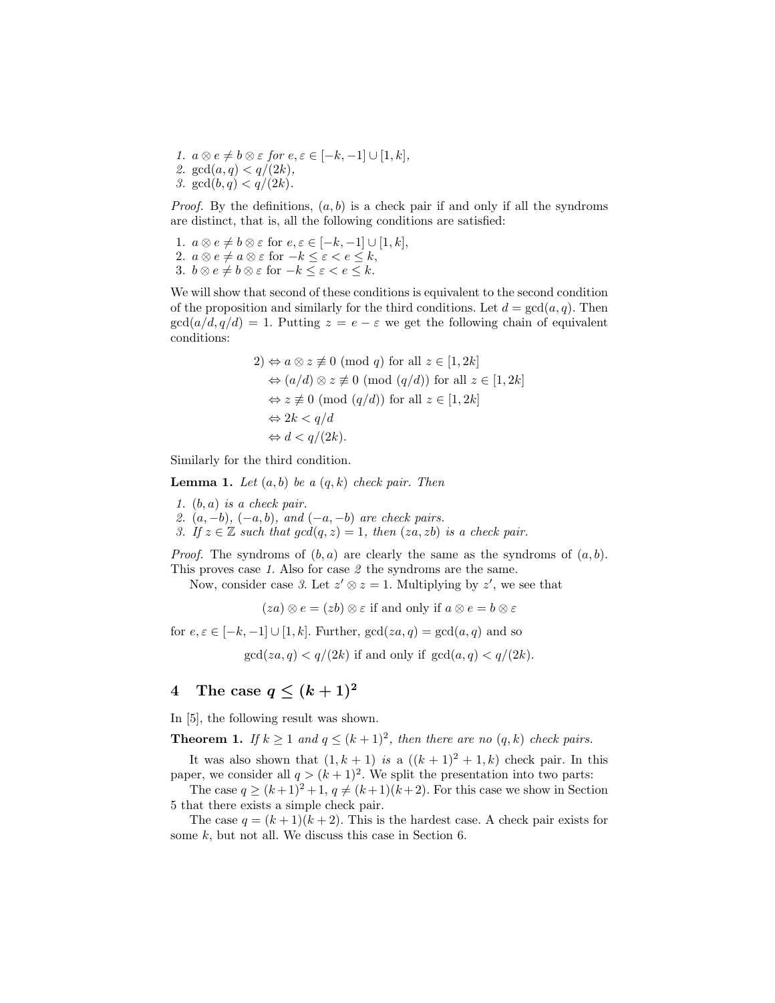*1.*  $a \otimes e \neq b \otimes \varepsilon$  *for*  $e, \varepsilon \in [-k, -1] \cup [1, k],$ 2.  $gcd(a, q) < q/(2k)$ , *3.*  $gcd(b, q) < q/(2k)$ .

*Proof.* By the definitions,  $(a, b)$  is a check pair if and only if all the syndroms are distinct, that is, all the following conditions are satisfied:

1.  $a \otimes e \neq b \otimes \varepsilon$  for  $e, \varepsilon \in [-k, -1] \cup [1, k],$ 2.  $a \otimes e \neq a \otimes \varepsilon$  for  $-k \leq \varepsilon < e \leq k$ , 3.  $b \otimes e \neq b \otimes \varepsilon$  for  $-k \leq \varepsilon < e \leq k$ .

We will show that second of these conditions is equivalent to the second condition of the proposition and similarly for the third conditions. Let  $d = \gcd(a, q)$ . Then  $gcd(a/d, q/d) = 1$ . Putting  $z = e - \varepsilon$  we get the following chain of equivalent conditions:

$$
2) \Leftrightarrow a \otimes z \not\equiv 0 \pmod{q} \text{ for all } z \in [1, 2k]
$$
  
\n
$$
\Leftrightarrow (a/d) \otimes z \not\equiv 0 \pmod{(q/d)} \text{ for all } z \in [1, 2k]
$$
  
\n
$$
\Leftrightarrow z \not\equiv 0 \pmod{(q/d)} \text{ for all } z \in [1, 2k]
$$
  
\n
$$
\Leftrightarrow 2k < q/d
$$
  
\n
$$
\Leftrightarrow d < q/(2k).
$$

Similarly for the third condition.

**Lemma 1.** Let  $(a, b)$  be a  $(q, k)$  check pair. Then

*1.* (b, a) *is a check pair.*

*2.* (a, −b)*,* (−a, b)*, and* (−a, −b) *are check pairs.*

*3.* If  $z \in \mathbb{Z}$  such that  $gcd(q, z) = 1$ , then  $(za, zb)$  is a check pair.

*Proof.* The syndroms of  $(b, a)$  are clearly the same as the syndroms of  $(a, b)$ . This proves case *1.* Also for case *2* the syndroms are the same.

Now, consider case 3. Let  $z' \otimes z = 1$ . Multiplying by  $z'$ , we see that

 $(za) \otimes e = (zb) \otimes \varepsilon$  if and only if  $a \otimes e = b \otimes \varepsilon$ 

for  $e, \varepsilon \in [-k, -1] \cup [1, k]$ . Further,  $gcd(za, q) = gcd(a, q)$  and so

 $gcd(za, q) < q/(2k)$  if and only if  $gcd(a, q) < q/(2k)$ .

# 4 The case  $q \leq (k+1)^2$

In [5], the following result was shown.

**Theorem 1.** *If*  $k \geq 1$  *and*  $q \leq (k+1)^2$ *, then there are no*  $(q, k)$  *check pairs.* 

It was also shown that  $(1, k + 1)$  *is* a  $((k + 1)^2 + 1, k)$  check pair. In this paper, we consider all  $q > (k+1)^2$ . We split the presentation into two parts:

The case  $q \ge (k+1)^2+1$ ,  $q \ne (k+1)(k+2)$ . For this case we show in Section 5 that there exists a simple check pair.

The case  $q = (k+1)(k+2)$ . This is the hardest case. A check pair exists for some k, but not all. We discuss this case in Section 6.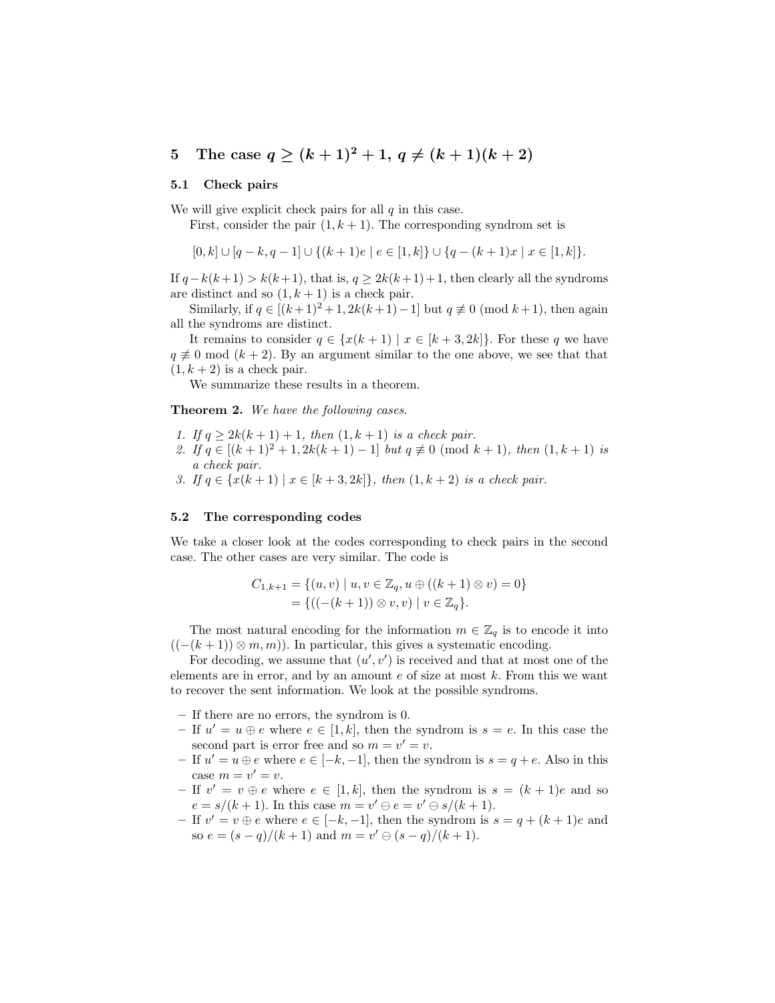5 The case  $q \ge (k+1)^2 + 1$ ,  $q \ne (k+1)(k+2)$ 

### 5.1 Check pairs

We will give explicit check pairs for all  $q$  in this case.

First, consider the pair  $(1, k + 1)$ . The corresponding syndrom set is

 $[0, k] \cup [q-k, q-1] \cup \{(k+1)e \mid e \in [1, k]\} \cup \{q-(k+1)x \mid x \in [1, k]\}.$ 

If  $q - k(k + 1) > k(k + 1)$ , that is,  $q \ge 2k(k + 1) + 1$ , then clearly all the syndroms are distinct and so  $(1, k + 1)$  is a check pair.

Similarly, if  $q \in [(k+1)^2 + 1, 2k(k+1) - 1]$  but  $q \not\equiv 0 \pmod{k+1}$ , then again all the syndroms are distinct.

It remains to consider  $q \in \{x(k+1) \mid x \in [k+3, 2k]\}\.$  For these q we have  $q \not\equiv 0 \mod (k+2)$ . By an argument similar to the one above, we see that that  $(1, k + 2)$  is a check pair.

We summarize these results in a theorem.

Theorem 2. *We have the following cases.*

- *1.* If  $q \ge 2k(k+1) + 1$ , then  $(1, k+1)$  is a check pair.
- *2.* If  $q \in [(k+1)^2+1, 2k(k+1)-1]$  *but*  $q \not\equiv 0 \pmod{k+1}$ *, then*  $(1, k+1)$  *is a check pair.*
- *3.* If  $q \in \{x(k+1) | x \in [k+3, 2k]\},\$  then  $(1, k+2)$  *is a check pair.*

### 5.2 The corresponding codes

We take a closer look at the codes corresponding to check pairs in the second case. The other cases are very similar. The code is

$$
C_{1,k+1} = \{(u, v) \mid u, v \in \mathbb{Z}_q, u \oplus ((k+1) \otimes v) = 0\}
$$
  
=  $\{((-(k+1)) \otimes v, v) \mid v \in \mathbb{Z}_q\}.$ 

The most natural encoding for the information  $m \in \mathbb{Z}_q$  is to encode it into  $((-k+1)) \otimes m, m)$ . In particular, this gives a systematic encoding.

For decoding, we assume that  $(u', v')$  is received and that at most one of the elements are in error, and by an amount  $e$  of size at most  $k$ . From this we want to recover the sent information. We look at the possible syndroms.

- If there are no errors, the syndrom is 0.
- If  $u' = u \oplus e$  where  $e \in [1, k]$ , then the syndrom is  $s = e$ . In this case the second part is error free and so  $m = v' = v$ .
- If  $u' = u \oplus e$  where  $e \in [-k, -1]$ , then the syndrom is  $s = q + e$ . Also in this case  $m = v' = v$ .
- If  $v' = v \oplus e$  where  $e \in [1, k]$ , then the syndrom is  $s = (k + 1)e$  and so  $e = s/(k+1)$ . In this case  $m = v' \ominus e = v' \ominus s/(k+1)$ .
- If  $v' = v \oplus e$  where  $e \in [-k, -1]$ , then the syndrom is  $s = q + (k + 1)e$  and so  $e = (s - q)/(k + 1)$  and  $m = v' \ominus (s - q)/(k + 1)$ .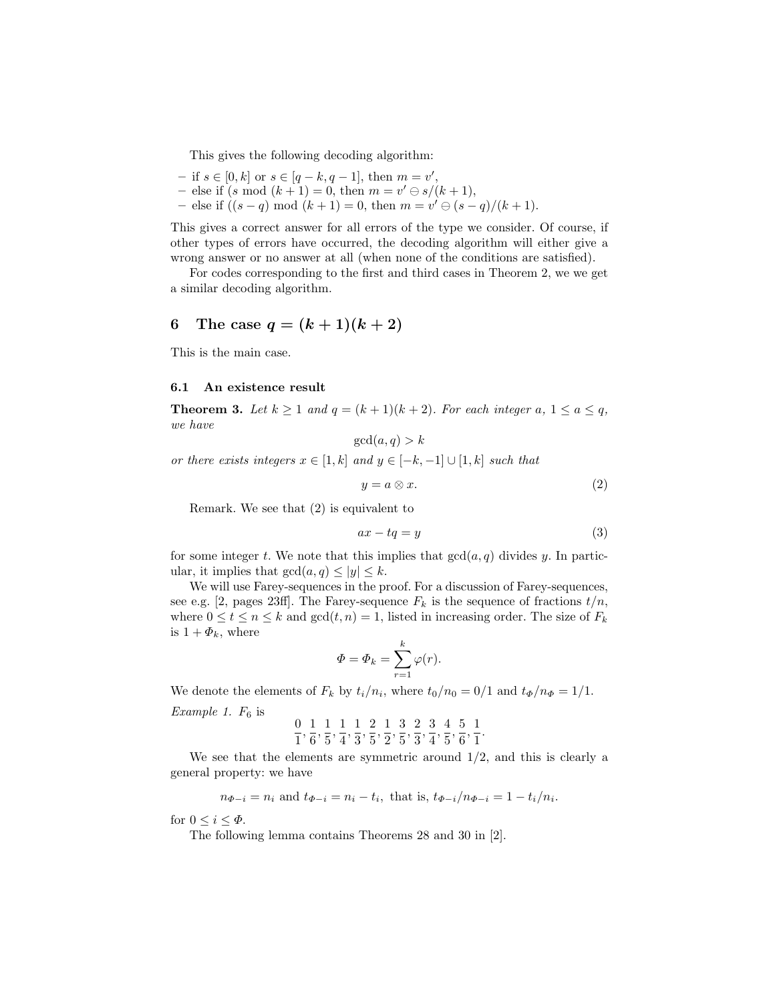This gives the following decoding algorithm:

- $-$  if  $s \in [0, k]$  or  $s \in [q k, q 1]$ , then  $m = v'$ ,
- else if  $(s \mod (k+1) = 0$ , then  $m = v' \ominus s/(k+1)$ ,
- else if  $((s-q) \mod (k+1) = 0$ , then  $m = v' \ominus (s-q)/(k+1)$ .

This gives a correct answer for all errors of the type we consider. Of course, if other types of errors have occurred, the decoding algorithm will either give a wrong answer or no answer at all (when none of the conditions are satisfied).

For codes corresponding to the first and third cases in Theorem 2, we we get a similar decoding algorithm.

## 6 The case  $q = (k + 1)(k + 2)$

This is the main case.

#### 6.1 An existence result

**Theorem 3.** Let  $k \geq 1$  and  $q = (k+1)(k+2)$ . For each integer a,  $1 \leq a \leq q$ , *we have*  $gcd(a, a) > k$ 

$$
\gcd(a, q) > \kappa
$$
  
or there exists integers  $x \in [1, k]$  and  $y \in [-k, -1] \cup [1, k]$  such that

$$
y = a \otimes x. \tag{2}
$$

Remark. We see that (2) is equivalent to

$$
ax - tq = y \tag{3}
$$

for some integer t. We note that this implies that  $gcd(a, q)$  divides y. In particular, it implies that  $gcd(a, q) \leq |y| \leq k$ .

We will use Farey-sequences in the proof. For a discussion of Farey-sequences, see e.g. [2, pages 23ff]. The Farey-sequence  $F_k$  is the sequence of fractions  $t/n$ , where  $0 \le t \le n \le k$  and  $gcd(t, n) = 1$ , listed in increasing order. The size of  $F_k$ is  $1 + \Phi_k$ , where

$$
\Phi = \Phi_k = \sum_{r=1}^k \varphi(r).
$$

We denote the elements of  $F_k$  by  $t_i/n_i$ , where  $t_0/n_0 = 0/1$  and  $t_{\Phi}/n_{\Phi} = 1/1$ .

*Example 1.*  $F_6$  is

$$
\frac{0}{1}, \frac{1}{6}, \frac{1}{5}, \frac{1}{4}, \frac{1}{3}, \frac{2}{5}, \frac{1}{2}, \frac{3}{5}, \frac{2}{3}, \frac{3}{4}, \frac{4}{5}, \frac{5}{6}, \frac{1}{1}.
$$

We see that the elements are symmetric around  $1/2$ , and this is clearly a general property: we have

$$
n_{\Phi-i} = n_i
$$
 and  $t_{\Phi-i} = n_i - t_i$ , that is,  $t_{\Phi-i}/n_{\Phi-i} = 1 - t_i/n_i$ .

for  $0 \leq i \leq \Phi$ .

The following lemma contains Theorems 28 and 30 in [2].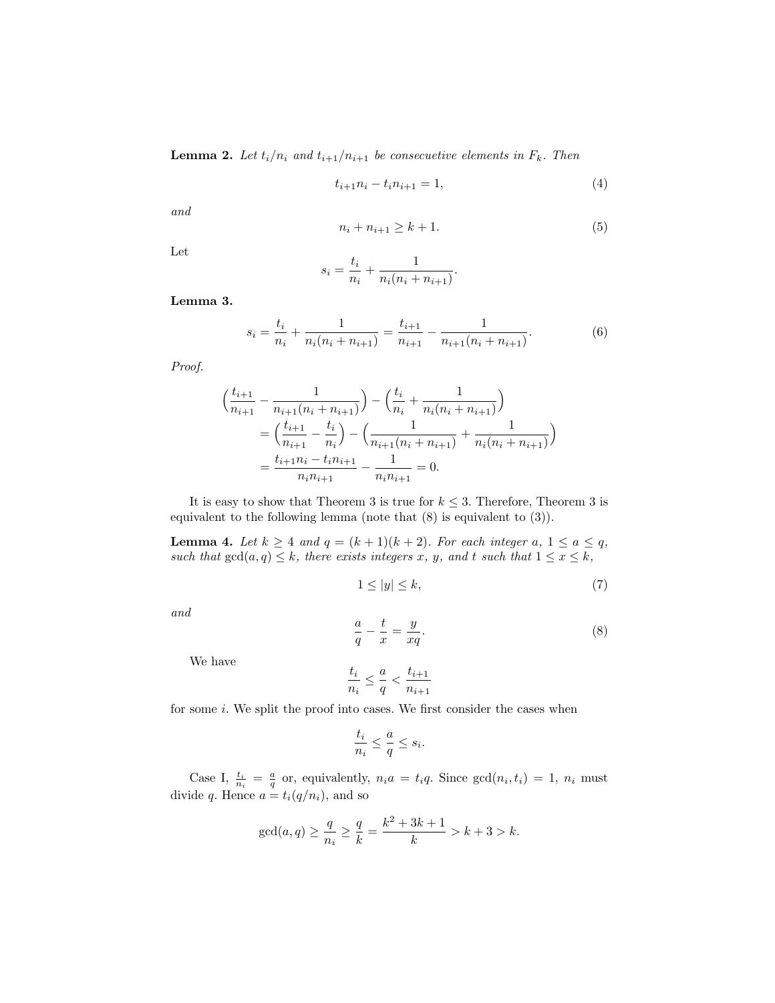**Lemma 2.** Let  $t_i/n_i$  and  $t_{i+1}/n_{i+1}$  be consecuetive elements in  $F_k$ . Then

$$
t_{i+1}n_i - t_i n_{i+1} = 1,\t\t(4)
$$

*and*

$$
n_i + n_{i+1} \ge k + 1. \tag{5}
$$

Let

$$
s_i = \frac{t_i}{n_i} + \frac{1}{n_i(n_i + n_{i+1})}.
$$

Lemma 3.

$$
s_i = \frac{t_i}{n_i} + \frac{1}{n_i(n_i + n_{i+1})} = \frac{t_{i+1}}{n_{i+1}} - \frac{1}{n_{i+1}(n_i + n_{i+1})}.
$$
 (6)

*Proof.*

$$
\begin{aligned}\n\left(\frac{t_{i+1}}{n_{i+1}} - \frac{1}{n_{i+1}(n_i + n_{i+1})}\right) - \left(\frac{t_i}{n_i} + \frac{1}{n_i(n_i + n_{i+1})}\right) \\
&= \left(\frac{t_{i+1}}{n_{i+1}} - \frac{t_i}{n_i}\right) - \left(\frac{1}{n_{i+1}(n_i + n_{i+1})} + \frac{1}{n_i(n_i + n_{i+1})}\right) \\
&= \frac{t_{i+1}n_i - t_i n_{i+1}}{n_i n_{i+1}} - \frac{1}{n_i n_{i+1}} = 0.\n\end{aligned}
$$

It is easy to show that Theorem 3 is true for  $k \leq 3$ . Therefore, Theorem 3 is equivalent to the following lemma (note that (8) is equivalent to (3)).

**Lemma 4.** Let  $k \geq 4$  and  $q = (k + 1)(k + 2)$ *. For each integer*  $a, 1 \leq a \leq q$ *, such that*  $gcd(a, q) \leq k$ *, there exists integers* x, y, and t *such that*  $1 \leq x \leq k$ *,* 

$$
1 \le |y| \le k,\tag{7}
$$

*and*

$$
\frac{a}{q} - \frac{t}{x} = \frac{y}{xq}.\tag{8}
$$

We have

$$
\frac{t_i}{n_i} \leq \frac{a}{q} < \frac{t_{i+1}}{n_{i+1}}
$$

for some  $i$ . We split the proof into cases. We first consider the cases when

$$
\frac{t_i}{n_i} \le \frac{a}{q} \le s_i
$$

.

Case I,  $\frac{t_i}{n_i} = \frac{a}{q}$  or, equivalently,  $n_i a = t_i q$ . Since  $gcd(n_i, t_i) = 1$ ,  $n_i$  must divide q. Hence  $a = t_i(q/n_i)$ , and so

$$
\gcd(a, q) \ge \frac{q}{n_i} \ge \frac{q}{k} = \frac{k^2 + 3k + 1}{k} > k + 3 > k.
$$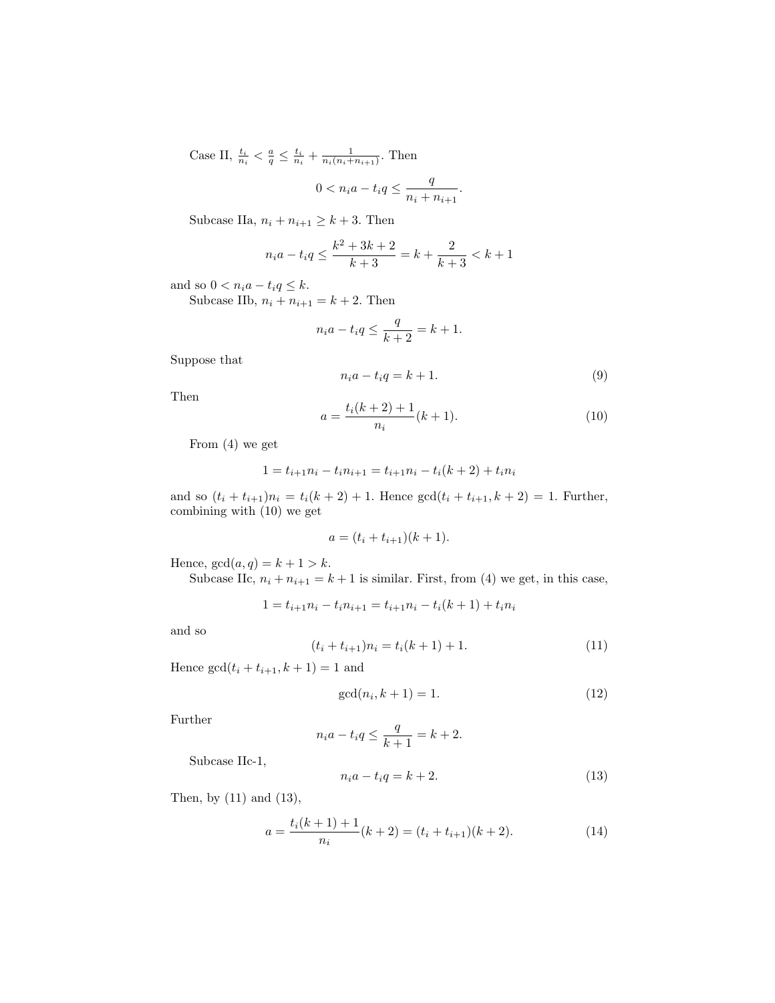Case II,  $\frac{t_i}{n_i} < \frac{a}{q} \le \frac{t_i}{n_i} + \frac{1}{n_i(n_i+n_{i+1})}$ . Then

$$
0 < n_i a - t_i q \le \frac{q}{n_i + n_{i+1}}.
$$

Subcase IIa,  $n_i + n_{i+1} \geq k + 3$ . Then

$$
n_i a - t_i q \le \frac{k^2 + 3k + 2}{k + 3} = k + \frac{2}{k + 3} < k + 1
$$

and so  $0 < n_i a - t_i q \leq k$ .

Subcase IIb,  $n_i + n_{i+1} = k + 2$ . Then

$$
n_i a - t_i q \le \frac{q}{k+2} = k+1.
$$

Suppose that

$$
n_i a - t_i q = k + 1. \tag{9}
$$

Then

$$
a = \frac{t_i(k+2) + 1}{n_i}(k+1). \tag{10}
$$

From (4) we get

$$
1 = t_{i+1}n_i - t_i n_{i+1} = t_{i+1}n_i - t_i(k+2) + t_i n_i
$$

and so  $(t_i + t_{i+1})n_i = t_i(k+2) + 1$ . Hence  $gcd(t_i + t_{i+1}, k+2) = 1$ . Further, combining with (10) we get

$$
a = (t_i + t_{i+1})(k+1).
$$

Hence,  $gcd(a, q) = k + 1 > k$ .

Subcase IIc,  $n_i + n_{i+1} = k+1$  is similar. First, from (4) we get, in this case,

$$
1 = t_{i+1}n_i - t_i n_{i+1} = t_{i+1}n_i - t_i(k+1) + t_i n_i
$$

and so

$$
(t_i + t_{i+1})n_i = t_i(k+1) + 1.
$$
\n(11)

Hence  $gcd(t_i + t_{i+1}, k + 1) = 1$  and

$$
\gcd(n_i, k+1) = 1. \tag{12}
$$

Further

$$
n_i a - t_i q \le \frac{q}{k+1} = k+2.
$$

Subcase IIc-1,

$$
n_i a - t_i q = k + 2. \tag{13}
$$

Then, by (11) and (13),

$$
a = \frac{t_i(k+1) + 1}{n_i}(k+2) = (t_i + t_{i+1})(k+2). \tag{14}
$$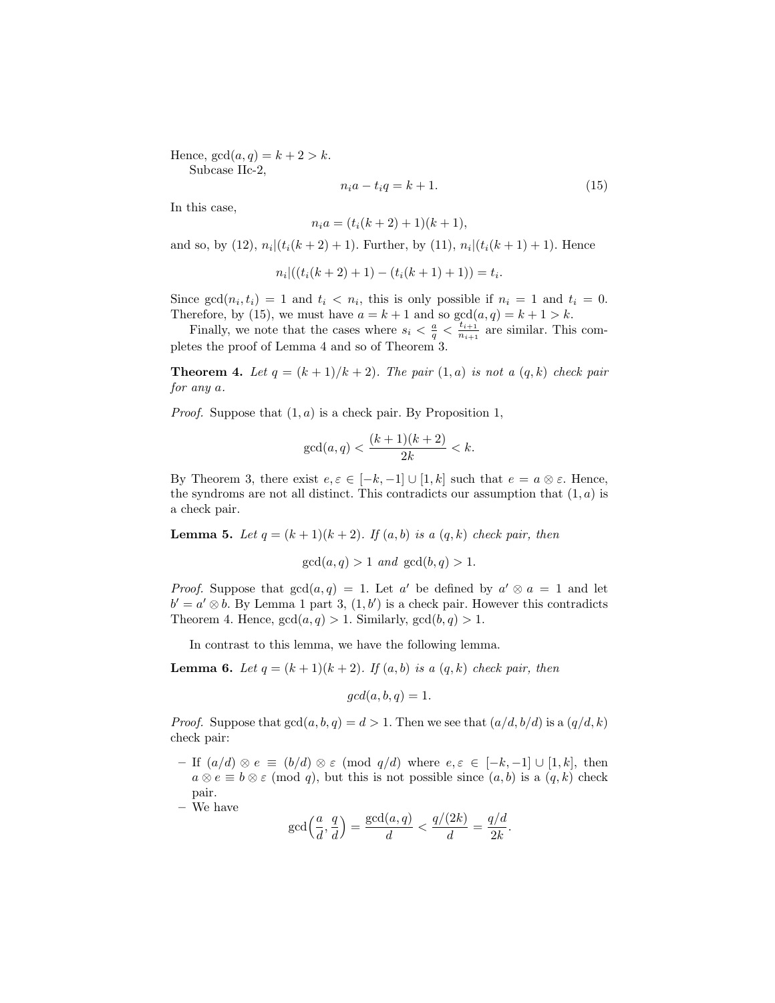Hence,  $gcd(a, q) = k + 2 > k$ .

Subcase IIc-2,

$$
n_i a - t_i q = k + 1. \tag{15}
$$

In this case,

$$
n_i a = (t_i(k+2) + 1)(k+1),
$$

and so, by (12),  $n_i|(t_i(k+2)+1)$ . Further, by (11),  $n_i|(t_i(k+1)+1)$ . Hence

$$
n_i|((t_i(k+2)+1)-(t_i(k+1)+1))=t_i.
$$

Since  $gcd(n_i, t_i) = 1$  and  $t_i < n_i$ , this is only possible if  $n_i = 1$  and  $t_i = 0$ . Therefore, by (15), we must have  $a = k + 1$  and so  $gcd(a, q) = k + 1 > k$ .

Finally, we note that the cases where  $s_i < \frac{a}{q} < \frac{t_{i+1}}{n_{i+1}}$  $\frac{t_{i+1}}{n_{i+1}}$  are similar. This completes the proof of Lemma 4 and so of Theorem 3.

**Theorem 4.** Let  $q = (k+1)/k+2$ . The pair  $(1, a)$  is not a  $(q, k)$  check pair *for any* a*.*

*Proof.* Suppose that  $(1, a)$  is a check pair. By Proposition 1,

$$
\gcd(a, q) < \frac{(k+1)(k+2)}{2k} < k.
$$

By Theorem 3, there exist  $e, \varepsilon \in [-k, -1] \cup [1, k]$  such that  $e = a \otimes \varepsilon$ . Hence, the syndroms are not all distinct. This contradicts our assumption that  $(1, a)$  is a check pair.

**Lemma 5.** Let  $q = (k + 1)(k + 2)$ . If  $(a, b)$  is a  $(q, k)$  check pair, then

$$
\gcd(a, q) > 1 \ and \ \gcd(b, q) > 1.
$$

*Proof.* Suppose that  $gcd(a,q) = 1$ . Let a' be defined by  $a' \otimes a = 1$  and let  $b' = a' \otimes b$ . By Lemma 1 part 3,  $(1, b')$  is a check pair. However this contradicts Theorem 4. Hence,  $gcd(a, q) > 1$ . Similarly,  $gcd(b, q) > 1$ .

In contrast to this lemma, we have the following lemma.

**Lemma 6.** Let  $q = (k + 1)(k + 2)$ *. If*  $(a, b)$  *is a*  $(q, k)$  *check pair, then* 

$$
\gcd(a,b,q)=1
$$

*Proof.* Suppose that  $gcd(a, b, q) = d > 1$ . Then we see that  $(a/d, b/d)$  is a  $(q/d, k)$ check pair:

- If  $(a/d) \otimes e \equiv (b/d) \otimes \varepsilon \pmod{q/d}$  where  $e, \varepsilon \in [-k, -1] \cup [1, k]$ , then  $a \otimes e \equiv b \otimes \varepsilon \pmod{q}$ , but this is not possible since  $(a, b)$  is a  $(q, k)$  check pair.
- We have

$$
\gcd\left(\frac{a}{d},\frac{q}{d}\right) = \frac{\gcd(a,q)}{d} < \frac{q/(2k)}{d} = \frac{q/d}{2k}.
$$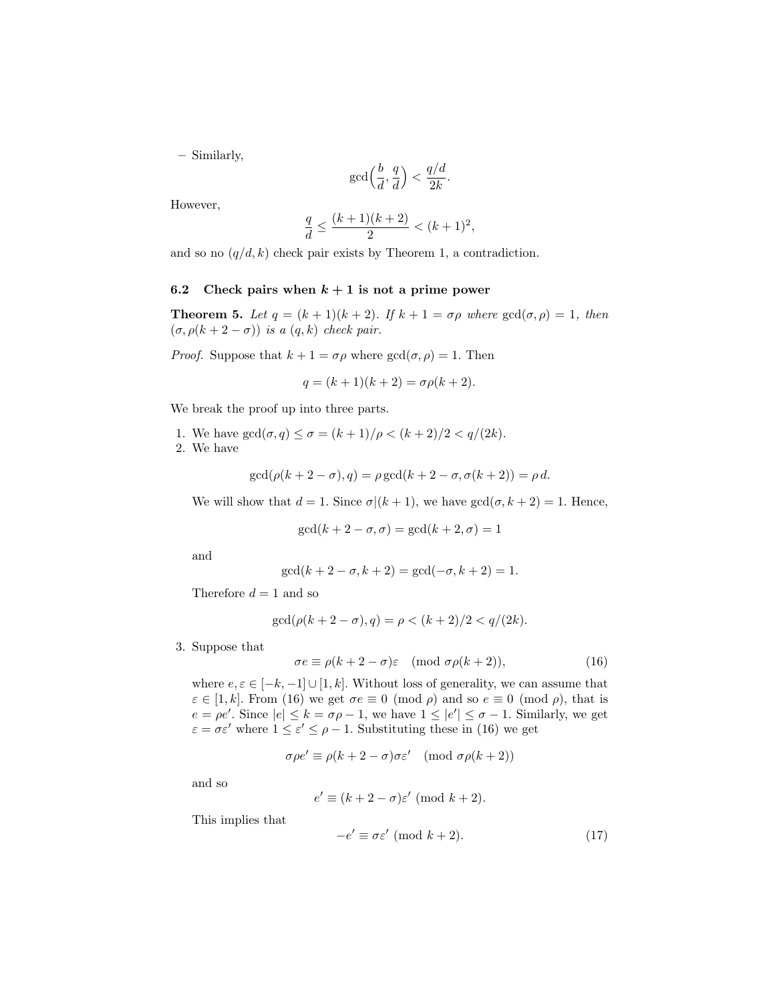– Similarly,

$$
\gcd\left(\frac{b}{d},\frac{q}{d}\right) < \frac{q/d}{2k}
$$

.

However,

$$
\frac{q}{d} \le \frac{(k+1)(k+2)}{2} < (k+1)^2,
$$

and so no  $\left(\frac{q}{d}, k\right)$  check pair exists by Theorem 1, a contradiction.

### 6.2 Check pairs when  $k + 1$  is not a prime power

**Theorem 5.** Let  $q = (k + 1)(k + 2)$ . If  $k + 1 = \sigma \rho$  where  $gcd(\sigma, \rho) = 1$ , then  $(\sigma, \rho(k+2-\sigma))$  *is a*  $(q, k)$  *check pair.* 

*Proof.* Suppose that  $k + 1 = \sigma \rho$  where  $gcd(\sigma, \rho) = 1$ . Then

$$
q = (k+1)(k+2) = \sigma \rho(k+2).
$$

We break the proof up into three parts.

- 1. We have  $gcd(\sigma, q) \leq \sigma = (k + 1)/\rho < (k + 2)/2 < q/(2k)$ .
- 2. We have

$$
\gcd(\rho(k+2-\sigma), q) = \rho \gcd(k+2-\sigma, \sigma(k+2)) = \rho d.
$$

We will show that  $d = 1$ . Since  $\sigma|(k+1)$ , we have  $gcd(\sigma, k+2) = 1$ . Hence,

$$
\gcd(k+2-\sigma,\sigma)=\gcd(k+2,\sigma)=1
$$

and

$$
\gcd(k+2-\sigma, k+2) = \gcd(-\sigma, k+2) = 1.
$$

Therefore  $d = 1$  and so

$$
\gcd(\rho(k+2-\sigma), q) = \rho < (k+2)/2 < q/(2k).
$$

3. Suppose that

$$
\sigma e \equiv \rho(k + 2 - \sigma)\varepsilon \pmod{\sigma\rho(k + 2)},\tag{16}
$$

where  $e, \varepsilon \in [-k, -1] \cup [1, k]$ . Without loss of generality, we can assume that  $\varepsilon \in [1, k]$ . From (16) we get  $\sigma e \equiv 0 \pmod{p}$  and so  $e \equiv 0 \pmod{p}$ , that is  $e = \rho e'$ . Since  $|e| \leq k = \sigma \rho - 1$ , we have  $1 \leq |e'| \leq \sigma - 1$ . Similarly, we get  $\varepsilon = \sigma \varepsilon'$  where  $1 \le \varepsilon' \le \rho - 1$ . Substituting these in (16) we get

$$
\sigma \rho e' \equiv \rho(k + 2 - \sigma)\sigma \varepsilon' \pmod{\sigma \rho(k + 2)}
$$

and so

$$
e' \equiv (k+2-\sigma)\varepsilon' \pmod{k+2}.
$$

This implies that

$$
-e' \equiv \sigma \varepsilon' \pmod{k+2}.
$$
 (17)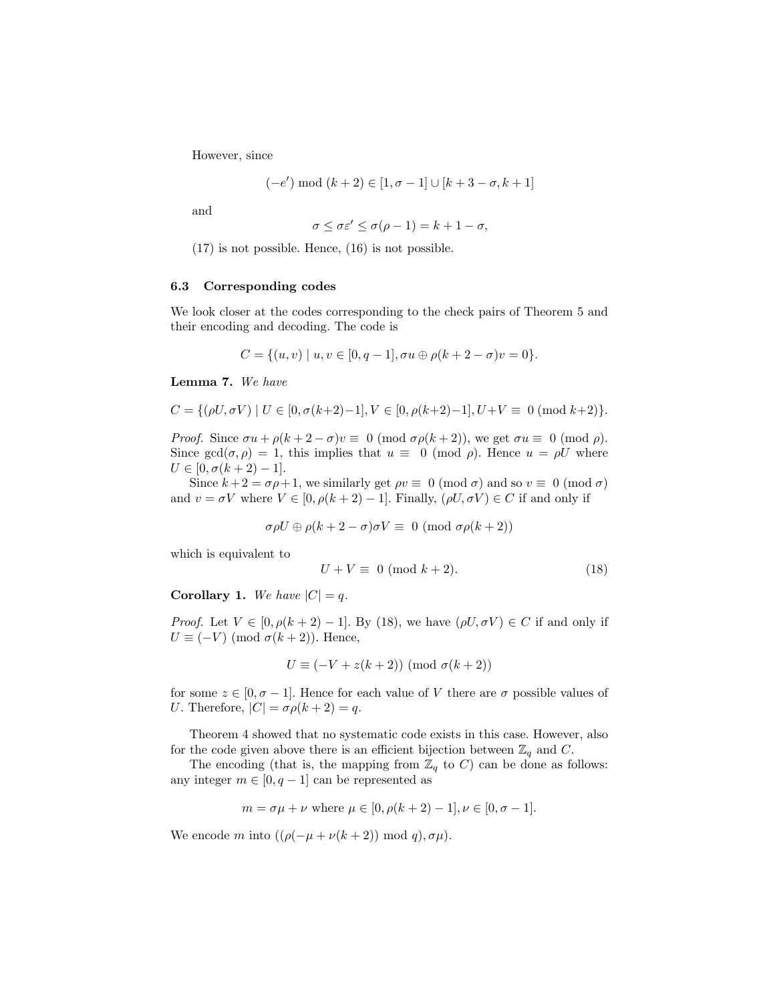However, since

$$
(-e') \bmod (k+2) \in [1, \sigma-1] \cup [k+3-\sigma, k+1]
$$

and

$$
\sigma \leq \sigma \varepsilon' \leq \sigma(\rho - 1) = k + 1 - \sigma,
$$

(17) is not possible. Hence, (16) is not possible.

### 6.3 Corresponding codes

We look closer at the codes corresponding to the check pairs of Theorem 5 and their encoding and decoding. The code is

$$
C = \{(u, v) \mid u, v \in [0, q - 1], \sigma u \oplus \rho (k + 2 - \sigma)v = 0\}.
$$

Lemma 7. *We have*

$$
C = \{(\rho U, \sigma V) \mid U \in [0, \sigma(k+2)-1], V \in [0, \rho(k+2)-1], U + V \equiv 0 \pmod{k+2}\}.
$$

*Proof.* Since  $\sigma u + \rho(k + 2 - \sigma)v \equiv 0 \pmod{\sigma \rho(k+2)}$ , we get  $\sigma u \equiv 0 \pmod{\rho}$ . Since gcd( $\sigma$ ,  $\rho$ ) = 1, this implies that  $u \equiv 0 \pmod{\rho}$ . Hence  $u = \rho U$  where  $U \in [0, \sigma(k+2) - 1].$ 

Since  $k+2 = \sigma \rho + 1$ , we similarly get  $\rho v \equiv 0 \pmod{\sigma}$  and so  $v \equiv 0 \pmod{\sigma}$ and  $v = \sigma V$  where  $V \in [0, \rho(k+2)-1]$ . Finally,  $(\rho U, \sigma V) \in C$  if and only if

$$
\sigma \rho U \oplus \rho (k+2-\sigma) \sigma V \equiv 0 \pmod{\sigma \rho (k+2)}
$$

which is equivalent to

$$
U + V \equiv 0 \pmod{k+2}.\tag{18}
$$

**Corollary 1.** We have  $|C| = q$ .

*Proof.* Let  $V \in [0, \rho(k+2) - 1]$ . By (18), we have  $(\rho U, \sigma V) \in C$  if and only if  $U \equiv (-V) \pmod{\sigma(k+2)}$ . Hence,

$$
U \equiv (-V + z(k+2)) \pmod{\sigma(k+2)}
$$

for some  $z \in [0, \sigma - 1]$ . Hence for each value of V there are  $\sigma$  possible values of U. Therefore,  $|C| = \sigma \rho (k+2) = q$ .

Theorem 4 showed that no systematic code exists in this case. However, also for the code given above there is an efficient bijection between  $\mathbb{Z}_q$  and C.

The encoding (that is, the mapping from  $\mathbb{Z}_q$  to C) can be done as follows: any integer  $m \in [0, q-1]$  can be represented as

$$
m = \sigma \mu + \nu
$$
 where  $\mu \in [0, \rho(k+2) - 1], \nu \in [0, \sigma - 1].$ 

We encode m into  $((\rho(-\mu+\nu(k+2)) \mod q), \sigma\mu)$ .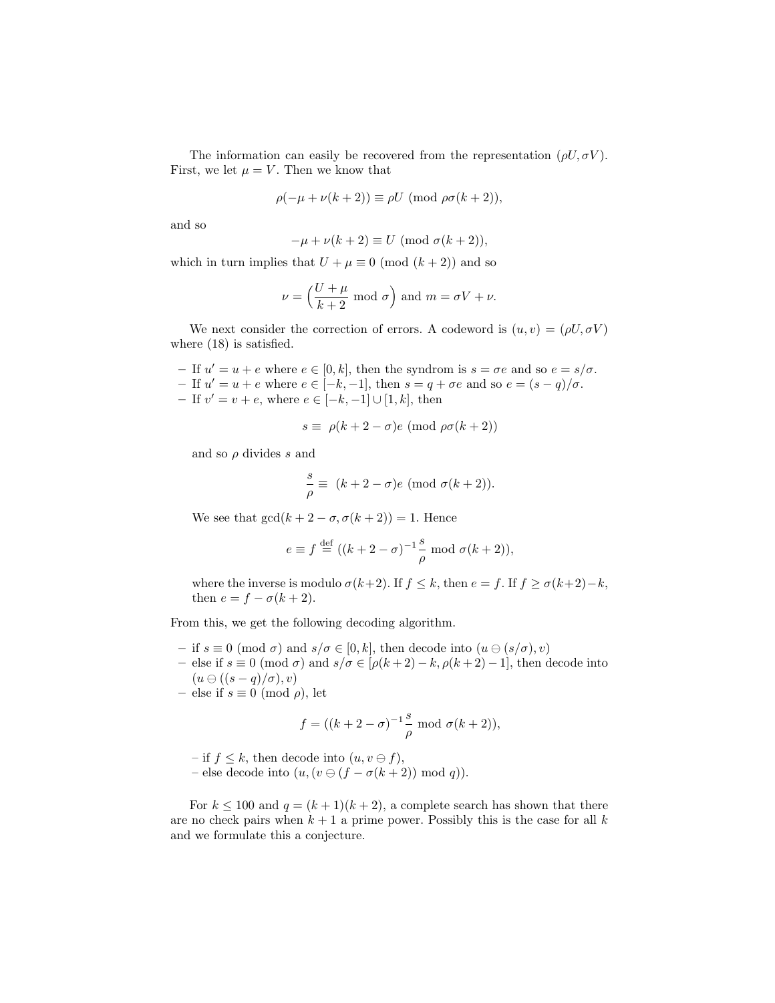The information can easily be recovered from the representation  $(\rho U, \sigma V)$ . First, we let  $\mu = V$ . Then we know that

$$
\rho(-\mu + \nu(k+2)) \equiv \rho U \pmod{\rho \sigma(k+2)},
$$

and so

$$
-\mu + \nu(k+2) \equiv U \pmod{\sigma(k+2)},
$$

which in turn implies that  $U + \mu \equiv 0 \pmod{(k+2)}$  and so

$$
\nu = \left(\frac{U + \mu}{k + 2} \mod \sigma\right) \text{ and } m = \sigma V + \nu.
$$

We next consider the correction of errors. A codeword is  $(u, v) = (\rho U, \sigma V)$ where (18) is satisfied.

- If  $u' = u + e$  where  $e \in [0, k]$ , then the syndrom is  $s = \sigma e$  and so  $e = s/\sigma$ . – If  $u' = u + e$  where  $e \in [-k, -1]$ , then  $s = q + \sigma e$  and so  $e = (s - q)/\sigma$ .  $-$  If  $v' = v + e$ , where  $e \in [-k, -1] \cup [1, k]$ , then

$$
s \equiv \rho(k+2-\sigma)e \pmod{\rho\sigma(k+2)}
$$

and so  $\rho$  divides s and

$$
\frac{s}{\rho} \equiv (k+2-\sigma)e \pmod{\sigma(k+2)}.
$$

We see that  $gcd(k+2-\sigma,\sigma(k+2))=1$ . Hence

$$
e \equiv f \stackrel{\text{def}}{=} ((k+2-\sigma)^{-1}\frac{s}{\rho} \bmod \sigma(k+2)),
$$

where the inverse is modulo  $\sigma(k+2)$ . If  $f \leq k$ , then  $e = f$ . If  $f \geq \sigma(k+2)-k$ , then  $e = f - \sigma(k+2)$ .

From this, we get the following decoding algorithm.

- if s ≡ 0 (mod σ) and s/σ ∈ [0, k], then decode into (u ⊖ (s/σ), v)
- else if  $s \equiv 0 \pmod{\sigma}$  and  $s/\sigma \in [\rho(k+2)-k, \rho(k+2)-1]$ , then decode into  $(u \ominus ((s-q)/\sigma), v)$
- else if s ≡ 0 (mod ρ), let

$$
f = ((k + 2 - \sigma)^{-1} \frac{s}{\rho} \mod \sigma(k + 2)),
$$

– if  $f \leq k$ , then decode into  $(u, v \ominus f)$ ,

– else decode into  $(u, (v ⊕ (f − σ(k + 2)) mod q)).$ 

For  $k \le 100$  and  $q = (k + 1)(k + 2)$ , a complete search has shown that there are no check pairs when  $k + 1$  a prime power. Possibly this is the case for all k and we formulate this a conjecture.